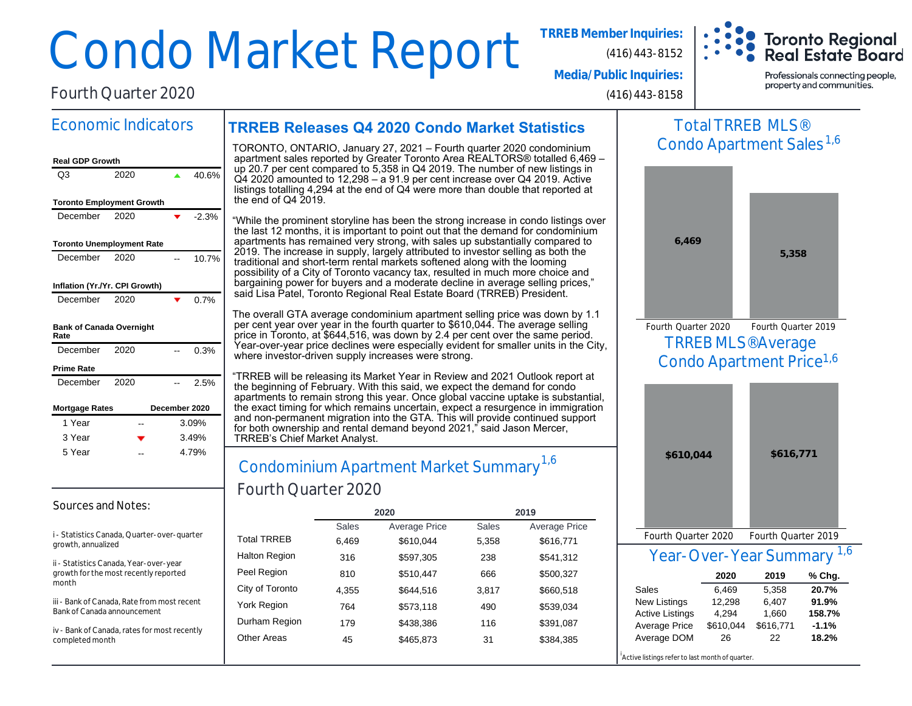# Condo Market Report **TRREB Member Inquiries:**

Fourth Quarter 2020

Economic Indicators

**Media/Public Inquiries:**

(416) 443-8158

(416) 443-8152

Professionals connecting people, property and communities.

**Toronto Regional Real Estate Board** 

## **TRREB Releases Q4 2020 Condo Market Statistics**

#### **Real GDP Growth** Q3 2020 **4** 40.6% **Toronto Employment Growth** December  $2020$   $\bullet$  -2.3% **Toronto Unemployment Rate** December 2020 -- 10.7% **Inflation (Yr./Yr. CPI Growth)** December 2020  $\bullet$  0.7% **Bank of Canada Overnight Rate** December 2020 -- 0.3% **Prime Rate** December 2020 -- 2.5% **Mortgage Rates December 2020** 1 Year 1 Year 3 Year 3 Year 5 Year 5 Year 3.09% 3.49% 4.79% --

#### Sources and Notes:

i - Statistics Canada, Quarter-over-quarter growth, annualized

ii - Statistics Canada, Year-over-year growth for the most recently reported month

iii - Bank of Canada, Rate from most recent Bank of Canada announcement

iv - Bank of Canada, rates for most recently completed month

TORONTO, ONTARIO, January 27, 2021 – Fourth quarter 2020 condominium apartment sales reported by Greater Toronto Area REALTORS® totalled 6,469 – up 20.7 per cent compared to 5,358 in Q4 2019. The number of new listings in Q4 2020 amounted to 12,298 – a 91.9 per cent increase over Q4 2019. Active listings totalling 4,294 at the end of Q4 were more than double that reported at the end of Q4 2019.

"While the prominent storyline has been the strong increase in condo listings over the last 12 months, it is important to point out that the demand for condominium apartments has remained very strong, with sales up substantially compared to 2019. The increase in supply, largely attributed to investor selling as both the traditional and short-term rental markets softened along with the looming possibility of a City of Toronto vacancy tax, resulted in much more choice and bargaining power for buyers and a moderate decline in average selling prices," said Lisa Patel, Toronto Regional Real Estate Board (TRREB) President.

The overall GTA average condominium apartment selling price was down by 1.1 per cent year over year in the fourth quarter to \$610,044. The average selling price in Toronto, at \$644,516, was down by 2.4 per cent over the same period. Year-over-year price declines were especially evident for smaller units in the City, where investor-driven supply increases were strong.

"TRREB will be releasing its Market Year in Review and 2021 Outlook report at the beginning of February. With this said, we expect the demand for condo apartments to remain strong this year. Once global vaccine uptake is substantial, the exact timing for which remains uncertain, expect a resurgence in immigration and non-permanent migration into the GTA. This will provide continued support for both ownership and rental demand beyond 2021," said Jason Mercer, TRREB's Chief Market Analyst.

## Condominium Apartment Market Summary Fourth Quarter 2020  $-$  4.79%  $\Bigg|$  Condominium Apartment Market Summary  $^{1,6}$

|                      |       | 2020                 | 2019         |               |  |  |
|----------------------|-------|----------------------|--------------|---------------|--|--|
|                      | Sales | <b>Average Price</b> | <b>Sales</b> | Average Price |  |  |
| <b>Total TRREB</b>   | 6,469 | \$610,044            | 5,358        | \$616,771     |  |  |
| <b>Halton Region</b> | 316   | \$597,305            | 238          | \$541,312     |  |  |
| Peel Region          | 810   | \$510,447            | 666          | \$500,327     |  |  |
| City of Toronto      | 4,355 | \$644.516            | 3,817        | \$660,518     |  |  |
| <b>York Region</b>   | 764   | \$573,118            | 490          | \$539,034     |  |  |
| Durham Region        | 179   | \$438,386            | 116          | \$391,087     |  |  |
| <b>Other Areas</b>   | 45    | \$465,873            | 31           | \$384,385     |  |  |
|                      |       |                      |              |               |  |  |

## Total TRREB MLS® Condo Apartment Sales<sup>1,6</sup>



TRREB MLS® Average Condo Apartment Price<sup>1,6</sup> Fourth Quarter 2020 Fourth Quarter 2019



Year-Over-Year Summary 1,6

|                        | 2020      | 2019      | $%$ Chg. |
|------------------------|-----------|-----------|----------|
| Sales                  | 6.469     | 5.358     | 20.7%    |
| <b>New Listings</b>    | 12.298    | 6,407     | 91.9%    |
| <b>Active Listings</b> | 4.294     | 1.660     | 158.7%   |
| Average Price          | \$610,044 | \$616,771 | $-1.1%$  |
| Average DOM            | 26        | 22        | 18.2%    |

Active listings refer to last month of quarter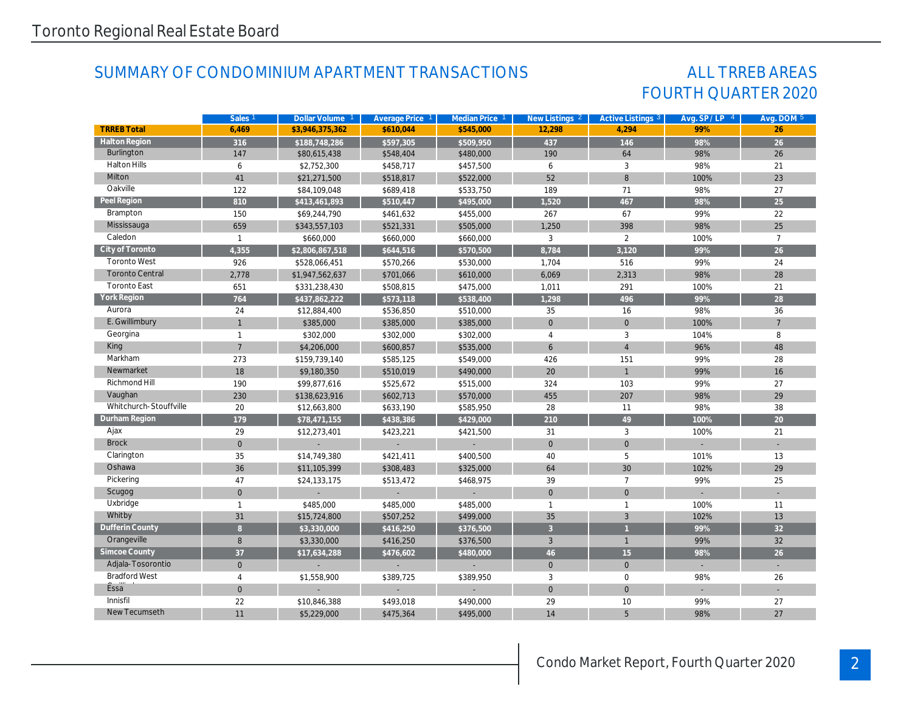## SUMMARY OF CONDOMINIUM APARTMENT TRANSACTIONS

## FOURTH QUARTER 2020 ALL TRREB AREAS

|                        | Sales <sub>1</sub> | Dollar Volume 1 | Average Price 1 | Median Price 1 | New Listings 2 | Active Listings 3   | Avg. SP/LP 4 | Avg. DOM 5      |
|------------------------|--------------------|-----------------|-----------------|----------------|----------------|---------------------|--------------|-----------------|
| <b>TRREB Total</b>     | 6.469              | \$3,946,375,362 | \$610.044       | \$545.000      | 12.298         | 4.294               | 99%          | 26              |
| <b>Halton Region</b>   | $\overline{316}$   | \$188,748,286   | \$597,305       | \$509,950      | 437            | 146                 | 98%          | 26              |
| Burlington             | 147                | \$80,615,438    | \$548,404       | \$480,000      | 190            | 64                  | 98%          | 26              |
| <b>Halton Hills</b>    | 6                  | \$2,752,300     | \$458,717       | \$457,500      | 6              | 3                   | 98%          | 21              |
| Milton                 | 41                 | \$21,271,500    | \$518,817       | \$522,000      | 52             | $\,8\,$             | 100%         | 23              |
| Oakville               | 122                | \$84,109,048    | \$689,418       | \$533,750      | 189            | 71                  | 98%          | 27              |
| Peel Region            | 810                | \$413,461,893   | \$510,447       | \$495,000      | 1,520          | 467                 | 98%          | 25              |
| Brampton               | 150                | \$69,244,790    | \$461,632       | \$455,000      | 267            | 67                  | 99%          | 22              |
| Mississauga            | 659                | \$343,557,103   | \$521,331       | \$505,000      | 1,250          | 398                 | 98%          | 25              |
| Caledon                | $\mathbf{1}$       | \$660,000       | \$660,000       | \$660,000      | 3              | $\overline{2}$      | 100%         | $\overline{7}$  |
| City of Toronto        | 4,355              | \$2,806,867,518 | \$644,516       | \$570,500      | 8,784          | 3,120               | 99%          | 26              |
| <b>Toronto West</b>    | 926                | \$528,066,451   | \$570,266       | \$530,000      | 1,704          | 516                 | 99%          | 24              |
| <b>Toronto Central</b> | 2,778              | \$1,947,562,637 | \$701,066       | \$610,000      | 6,069          | 2,313               | 98%          | 28              |
| <b>Toronto East</b>    | 651                | \$331,238,430   | \$508,815       | \$475,000      | 1,011          | 291                 | 100%         | 21              |
| York Region            | 764                | \$437,862,222   | \$573,118       | \$538,400      | 1,298          | 496                 | 99%          | 28              |
| Aurora                 | 24                 | \$12,884,400    | \$536,850       | \$510,000      | 35             | 16                  | 98%          | 36              |
| E. Gwillimbury         | $\mathbf{1}$       | \$385,000       | \$385,000       | \$385,000      | $\mathbf{0}$   | $\mathbf{0}$        | 100%         | $\overline{7}$  |
| Georgina               | $\overline{1}$     | \$302,000       | \$302,000       | \$302,000      | $\overline{4}$ | 3                   | 104%         | 8               |
| King                   | $\overline{7}$     | \$4,206,000     | \$600,857       | \$535,000      | 6              | $\overline{4}$      | 96%          | 48              |
| Markham                | 273                | \$159,739,140   | \$585,125       | \$549,000      | 426            | 151                 | 99%          | 28              |
| Newmarket              | 18                 | \$9,180,350     | \$510,019       | \$490,000      | 20             | $\mathbf{1}$        | 99%          | 16              |
| Richmond Hill          | 190                | \$99,877,616    | \$525,672       | \$515,000      | 324            | 103                 | 99%          | 27              |
| Vaughan                | 230                | \$138,623,916   | \$602,713       | \$570,000      | 455            | 207                 | 98%          | 29              |
| Whitchurch-Stouffville | 20                 | \$12,663,800    | \$633,190       | \$585,950      | 28             | 11                  | 98%          | 38              |
| Durham Region          | 179                | \$78,471,155    | \$438,386       | \$429,000      | 210            | 49                  | 100%         | 20              |
| Ajax                   | 29                 | \$12,273,401    | \$423,221       | \$421,500      | 31             | 3                   | 100%         | 21              |
| <b>Brock</b>           | $\mathbf{0}$       |                 |                 |                | $\mathbf{0}$   | $\mathsf{O}\xspace$ |              |                 |
| Clarington             | 35                 | \$14,749,380    | \$421,411       | \$400,500      | 40             | 5                   | 101%         | 13              |
| Oshawa                 | 36                 | \$11,105,399    | \$308,483       | \$325,000      | 64             | 30                  | 102%         | 29              |
| Pickering              | 47                 | \$24,133,175    | \$513,472       | \$468,975      | 39             | $\overline{7}$      | 99%          | 25              |
| Scugog                 | $\mathbf{0}$       |                 |                 |                | $\mathbf{0}$   | $\mathbf{0}$        |              |                 |
| Uxbridge               | $\mathbf{1}$       | \$485,000       | \$485,000       | \$485,000      | $\mathbf{1}$   | $\mathbf{1}$        | 100%         | 11              |
| Whitby                 | 31                 | \$15,724,800    | \$507,252       | \$499,000      | 35             | 3                   | 102%         | 13              |
| Dufferin County        | 8 <sup>°</sup>     | \$3,330,000     | \$416,250       | \$376,500      | $\overline{3}$ | $\overline{1}$      | 99%          | 32 <sup>°</sup> |
| Orangeville            | 8                  | \$3,330,000     | \$416,250       | \$376,500      | 3              | $\mathbf{1}$        | 99%          | 32              |
| Simcoe County          | 37                 | \$17,634,288    | \$476,602       | \$480,000      | 46             | 15                  | 98%          | 26              |
| Adjala-Tosorontio      | $\mathbf{0}$       |                 |                 |                | $\mathbf{0}$   | $\mathbf{0}$        | $\sim$       |                 |
| <b>Bradford West</b>   | 4                  | \$1,558,900     | \$389,725       | \$389,950      | 3              | $\mathbf 0$         | 98%          | 26              |
| Essa                   | $\mathbf{0}$       |                 |                 |                | $\mathbf{0}$   | $\mathbf{0}$        |              |                 |
| Innisfil               | 22                 | \$10,846,388    | \$493,018       | \$490,000      | 29             | 10                  | 99%          | 27              |
| New Tecumseth          | 11                 | \$5,229,000     | \$475,364       | \$495,000      | 14             | 5                   | 98%          | 27              |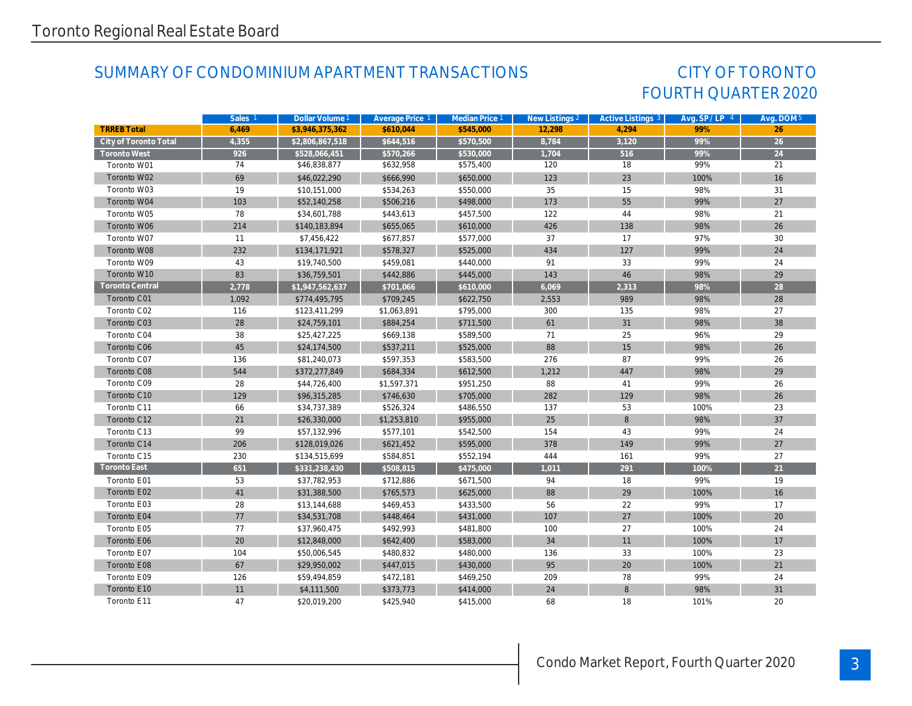## SUMMARY OF CONDOMINIUM APARTMENT TRANSACTIONS

## FOURTH QUARTER 2020 CITY OF TORONTO

|                        | Sales <sub>1</sub> | Dollar Volume 1 | Average Price 1 | Median Price 1 | New Listings 2 | Active Listings 3 | Avg. SP/LP 4 | Avg. DOM 5      |
|------------------------|--------------------|-----------------|-----------------|----------------|----------------|-------------------|--------------|-----------------|
| <b>TRREB Total</b>     | 6,469              | \$3,946,375,362 | \$610.044       | \$545.000      | 12,298         | 4.294             | 99%          | 26              |
| City of Toronto Total  | 4,355              | \$2,806,867,518 | \$644,516       | \$570,500      | 8,784          | 3,120             | 99%          | $\overline{26}$ |
| <b>Toronto West</b>    | 926                | \$528,066,451   | \$570,266       | \$530,000      | 1,704          | 516               | 99%          | 24              |
| Toronto W01            | 74                 | \$46,838,877    | \$632,958       | \$575,400      | 120            | 18                | 99%          | 21              |
| Toronto W02            | 69                 | \$46,022,290    | \$666,990       | \$650,000      | 123            | 23                | 100%         | 16              |
| Toronto W03            | 19                 | \$10,151,000    | \$534,263       | \$550,000      | 35             | 15                | 98%          | 31              |
| Toronto W04            | 103                | \$52,140,258    | \$506,216       | \$498,000      | 173            | 55                | 99%          | 27              |
| Toronto W05            | 78                 | \$34,601,788    | \$443,613       | \$457,500      | 122            | 44                | 98%          | 21              |
| Toronto W06            | 214                | \$140,183,894   | \$655,065       | \$610,000      | 426            | 138               | 98%          | 26              |
| Toronto W07            | 11                 | \$7,456,422     | \$677,857       | \$577,000      | 37             | 17                | 97%          | 30              |
| Toronto W08            | 232                | \$134,171,921   | \$578,327       | \$525,000      | 434            | 127               | 99%          | 24              |
| Toronto W09            | 43                 | \$19,740,500    | \$459,081       | \$440,000      | 91             | 33                | 99%          | 24              |
| Toronto W10            | 83                 | \$36,759,501    | \$442,886       | \$445,000      | 143            | 46                | 98%          | 29              |
| <b>Toronto Central</b> | 2,778              | \$1,947,562,637 | \$701,066       | \$610,000      | 6,069          | 2,313             | 98%          | 28              |
| Toronto C01            | 1,092              | \$774,495,795   | \$709,245       | \$622,750      | 2,553          | 989               | 98%          | 28              |
| Toronto C02            | 116                | \$123,411,299   | \$1,063,891     | \$795,000      | 300            | 135               | 98%          | 27              |
| Toronto C03            | 28                 | \$24,759,101    | \$884,254       | \$711,500      | 61             | 31                | 98%          | 38              |
| Toronto C04            | 38                 | \$25,427,225    | \$669,138       | \$589,500      | 71             | 25                | 96%          | 29              |
| Toronto C06            | 45                 | \$24,174,500    | \$537,211       | \$525,000      | 88             | 15                | 98%          | 26              |
| Toronto C07            | 136                | \$81,240,073    | \$597,353       | \$583,500      | 276            | 87                | 99%          | 26              |
| Toronto C08            | 544                | \$372,277,849   | \$684,334       | \$612,500      | 1,212          | 447               | 98%          | 29              |
| Toronto C09            | 28                 | \$44,726,400    | \$1,597,371     | \$951,250      | 88             | 41                | 99%          | 26              |
| Toronto C10            | 129                | \$96,315,285    | \$746,630       | \$705,000      | 282            | 129               | 98%          | 26              |
| Toronto C11            | 66                 | \$34,737,389    | \$526,324       | \$486,550      | 137            | 53                | 100%         | 23              |
| Toronto C12            | 21                 | \$26,330,000    | \$1,253,810     | \$955,000      | 25             | 8                 | 98%          | 37              |
| Toronto C13            | 99                 | \$57,132,996    | \$577,101       | \$542,500      | 154            | 43                | 99%          | 24              |
| Toronto C14            | 206                | \$128,019,026   | \$621,452       | \$595,000      | 378            | 149               | 99%          | 27              |
| Toronto C15            | 230                | \$134,515,699   | \$584,851       | \$552,194      | 444            | 161               | 99%          | 27              |
| Toronto East           | 651                | \$331,238,430   | \$508,815       | \$475,000      | 1,011          | 291               | 100%         | 21              |
| Toronto E01            | 53                 | \$37,782,953    | \$712,886       | \$671,500      | 94             | 18                | 99%          | 19              |
| Toronto E02            | 41                 | \$31,388,500    | \$765,573       | \$625,000      | 88             | 29                | 100%         | 16              |
| Toronto E03            | 28                 | \$13,144,688    | \$469,453       | \$433,500      | 56             | 22                | 99%          | 17              |
| Toronto E04            | 77                 | \$34,531,708    | \$448,464       | \$431,000      | 107            | 27                | 100%         | 20              |
| Toronto E05            | 77                 | \$37,960,475    | \$492,993       | \$481,800      | 100            | 27                | 100%         | 24              |
| Toronto E06            | 20                 | \$12,848,000    | \$642,400       | \$583,000      | 34             | 11                | 100%         | 17              |
| Toronto E07            | 104                | \$50,006,545    | \$480,832       | \$480,000      | 136            | 33                | 100%         | 23              |
| Toronto E08            | 67                 | \$29,950,002    | \$447,015       | \$430,000      | 95             | 20                | 100%         | 21              |
| Toronto E09            | 126                | \$59,494,859    | \$472,181       | \$469,250      | 209            | 78                | 99%          | 24              |
| Toronto E10            | 11                 | \$4,111,500     | \$373,773       | \$414,000      | 24             | 8                 | 98%          | 31              |
| Toronto E11            | 47                 | \$20,019,200    | \$425,940       | \$415,000      | 68             | 18                | 101%         | 20              |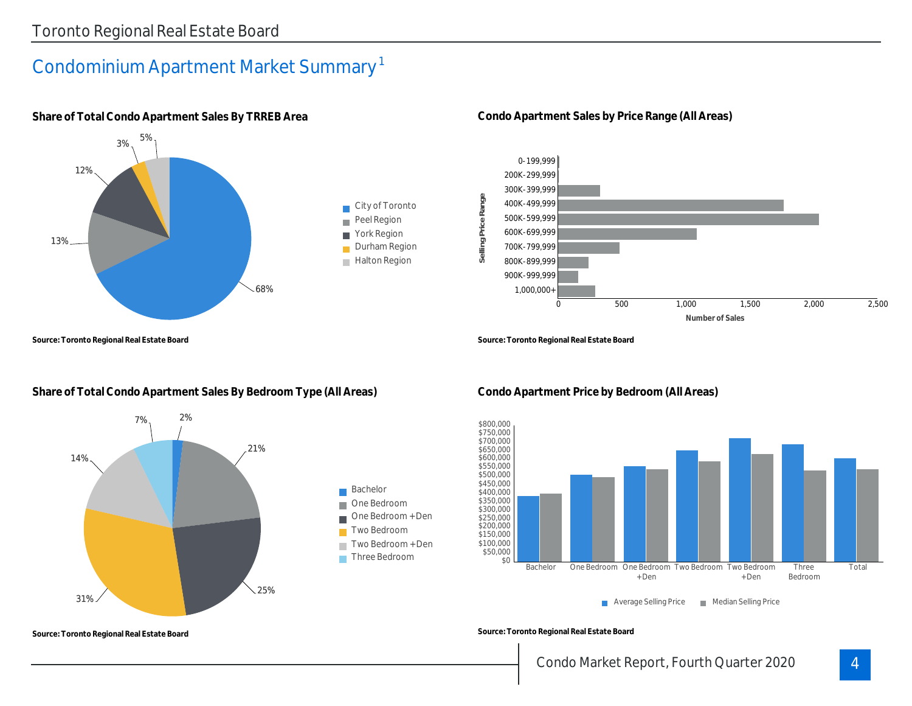# Condominium Apartment Market Summary 1



**Share of Total Condo Apartment Sales By TRREB Area**

**Source: Toronto Regional Real Estate Board**

## **Share of Total Condo Apartment Sales By Bedroom Type (All Areas)**



**Condo Apartment Sales by Price Range (All Areas)**



**Source: Toronto Regional Real Estate Board**



**Condo Apartment Price by Bedroom (All Areas)**

**Source: Toronto Regional Real Estate Board**

## Condo Market Report, Fourth Quarter 2020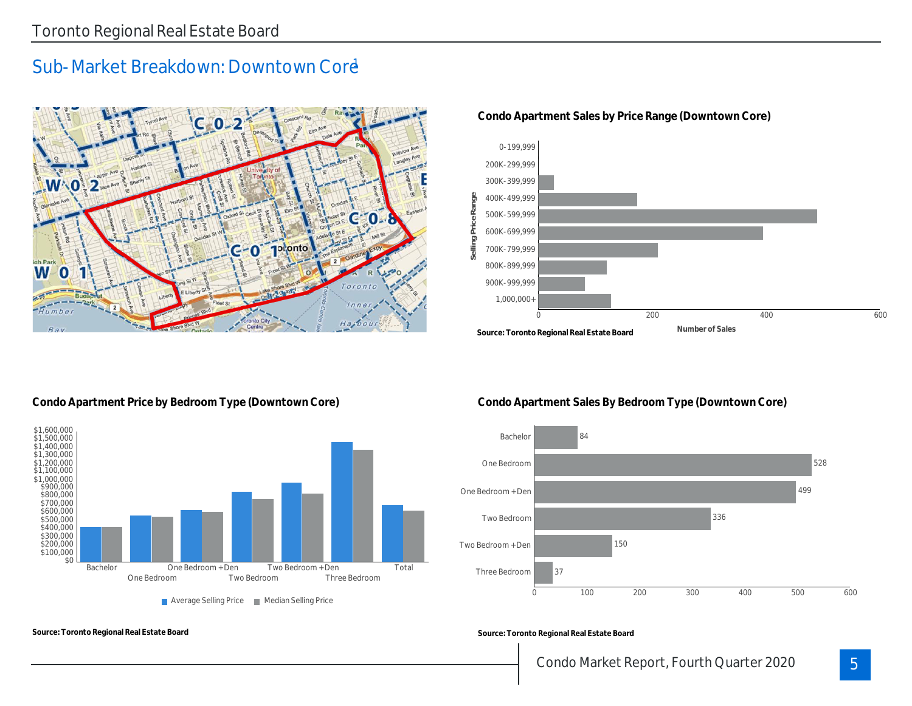# Sub-Market Breakdown: Downtown Core



**Condo Apartment Sales by Price Range (Downtown Core)**



**Condo Apartment Price by Bedroom Type (Downtown Core)**

**Source: Toronto Regional Real Estate Board**



**Condo Apartment Sales By Bedroom Type (Downtown Core)**



**Source: Toronto Regional Real Estate Board**

## Condo Market Report, Fourth Quarter 2020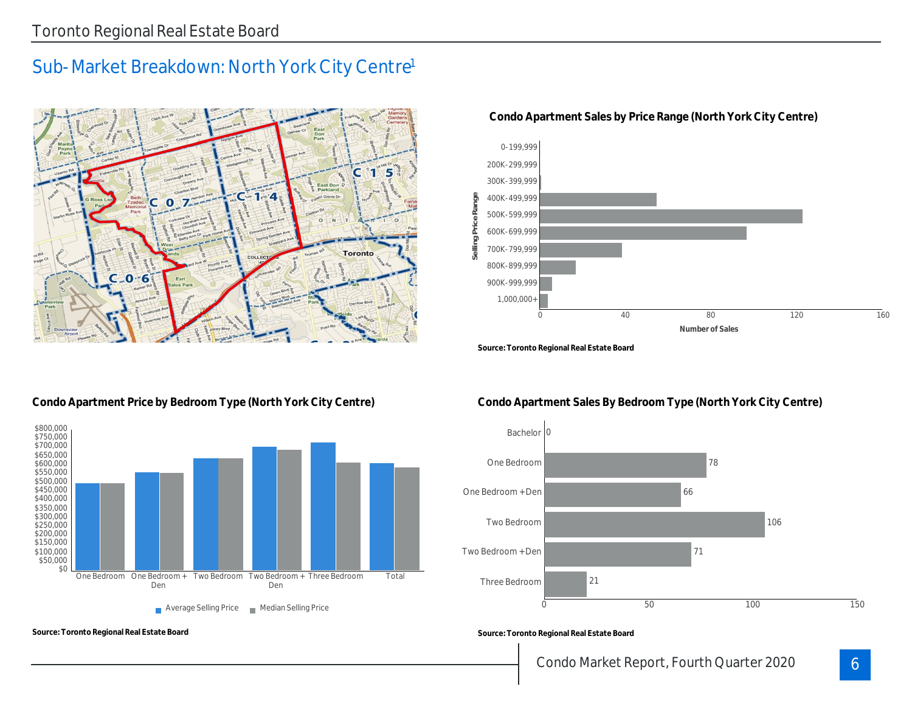## Sub-Market Breakdown: North York City Centre<sup>1</sup>



#### **Condo Apartment Sales by Price Range (North York City Centre)**



**Source: Toronto Regional Real Estate Board**

#### **Condo Apartment Price by Bedroom Type (North York City Centre)**



**Source: Toronto Regional Real Estate Board**

## **Condo Apartment Sales By Bedroom Type (North York City Centre)**



**Source: Toronto Regional Real Estate Board**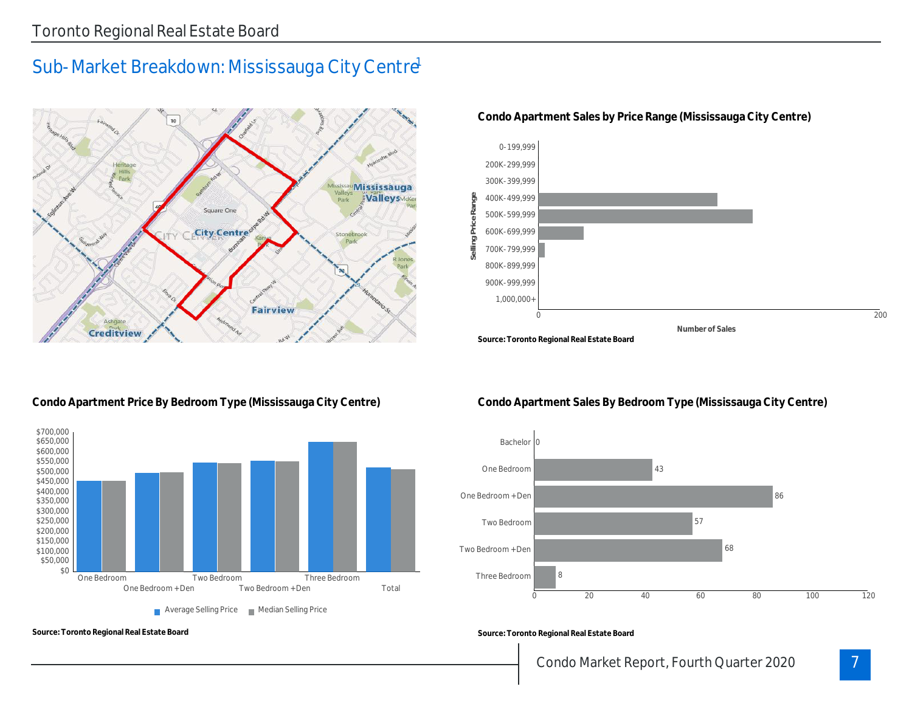# Sub-Market Breakdown: Mississauga City Centre



**Condo Apartment Sales by Price Range (Mississauga City Centre)**



#### **Condo Apartment Price By Bedroom Type (Mississauga City Centre)**



**Source: Toronto Regional Real Estate Board**

#### **Condo Apartment Sales By Bedroom Type (Mississauga City Centre)**



**Source: Toronto Regional Real Estate Board**

7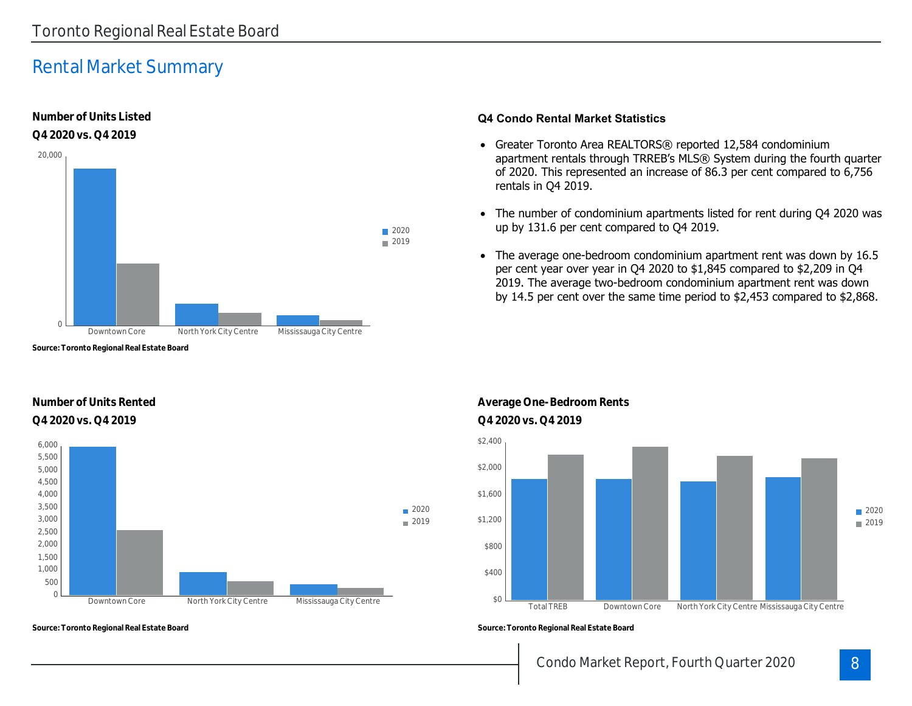# Rental Market Summary

**Number of Units Listed**



#### **Q4 Condo Rental Market Statistics**

- Greater Toronto Area REALTORS® reported 12,584 condominium apartment rentals through TRREB's MLS® System during the fourth quarter of 2020. This represented an increase of 86.3 per cent compared to 6,756 rentals in Q4 2019.
- The number of condominium apartments listed for rent during Q4 2020 was up by 131.6 per cent compared to Q4 2019.
- The average one-bedroom condominium apartment rent was down by 16.5 per cent year over year in Q4 2020 to \$1,845 compared to \$2,209 in Q4 2019. The average two-bedroom condominium apartment rent was down by 14.5 per cent over the same time period to \$2,453 compared to \$2,868.

**Source: Toronto Regional Real Estate Board**

#### **Number of Units Rented Q4 2020 vs. Q4 2019 Q4 2020 vs. Q4 2019**



**Source: Toronto Regional Real Estate Board**

**Average One-Bedroom Rents**





**Source: Toronto Regional Real Estate Board**

## Condo Market Report, Fourth Quarter 2020